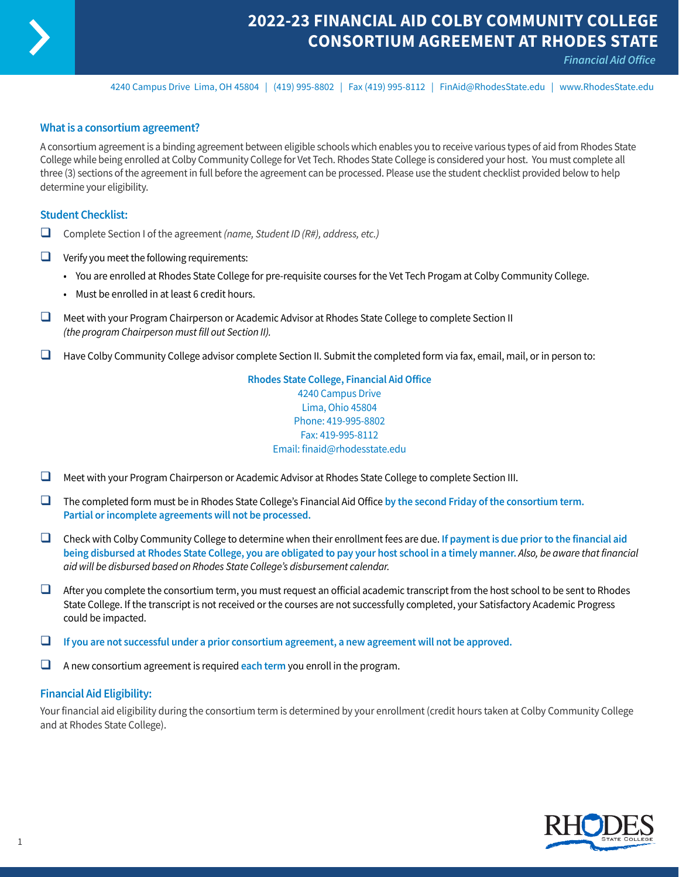

## **2022-23 FINANCIAL AID COLBY COMMUNITY COLLEGE CONSORTIUM AGREEMENT AT RHODES STATE**

*Financial Aid Office*

4240 Campus Drive Lima, OH 45804 | (419) 995-8802 | Fax (419) 995-8112 | [FinAid@RhodesState.edu](mailto:FinAid@RhodesState.edu) | [www.RhodesState.edu](http://www.RhodesState.edu)

### **What is a consortium agreement?**

A consortium agreement is a binding agreement between eligible schools which enables you to receive various types of aid from Rhodes State College while being enrolled at Colby Community College for Vet Tech. Rhodes State College is considered your host. You must complete all three (3) sections of the agreement in full before the agreement can be processed. Please use the student checklist provided below to help determine your eligibility.

### **Student Checklist:**

- □ Complete Section I of the agreement *(name, Student ID (R#), address, etc.)*
- $\Box$  Verify you meet the following requirements:
	- You are enrolled at Rhodes State College for pre-requisite courses for the Vet Tech Progam at Colby Community College.
	- Must be enrolled in at least 6 credit hours.
- $\Box$  Meet with your Program Chairperson or Academic Advisor at Rhodes State College to complete Section II *(the program Chairperson must fill out Section II).*
- $\Box$  Have Colby Community College advisor complete Section II. Submit the completed form via fax, email, mail, or in person to:

**Rhodes State College, Financial Aid Office** 4240 Campus Drive Lima, Ohio 45804 Phone: 419-995-8802 Fax: 419-995-8112 Email: finaid@rhodesstate.edu

- $\Box$  Meet with your Program Chairperson or Academic Advisor at Rhodes State College to complete Section III.
- □ The completed form must be in Rhodes State College's Financial Aid Office by the second Friday of the consortium term. **Partial or incomplete agreements will not be processed.**
- □ Check with Colby Community College to determine when their enrollment fees are due. If payment is due prior to the financial aid **being disbursed at Rhodes State College, you are obligated to pay your host school in a timely manner.** *Also, be aware that financial aid will be disbursed based on Rhodes State College's disbursement calendar.*
- $\Box$  After you complete the consortium term, you must request an official academic transcript from the host school to be sent to Rhodes State College. If the transcript is not received or the courses are not successfully completed, your Satisfactory Academic Progress could be impacted.
- $\Box$  If you are not successful under a prior consortium agreement, a new agreement will not be approved.
- $\Box$  A new consortium agreement is required each term you enroll in the program.

### **Financial Aid Eligibility:**

Your financial aid eligibility during the consortium term is determined by your enrollment (credit hours taken at Colby Community College and at Rhodes State College).

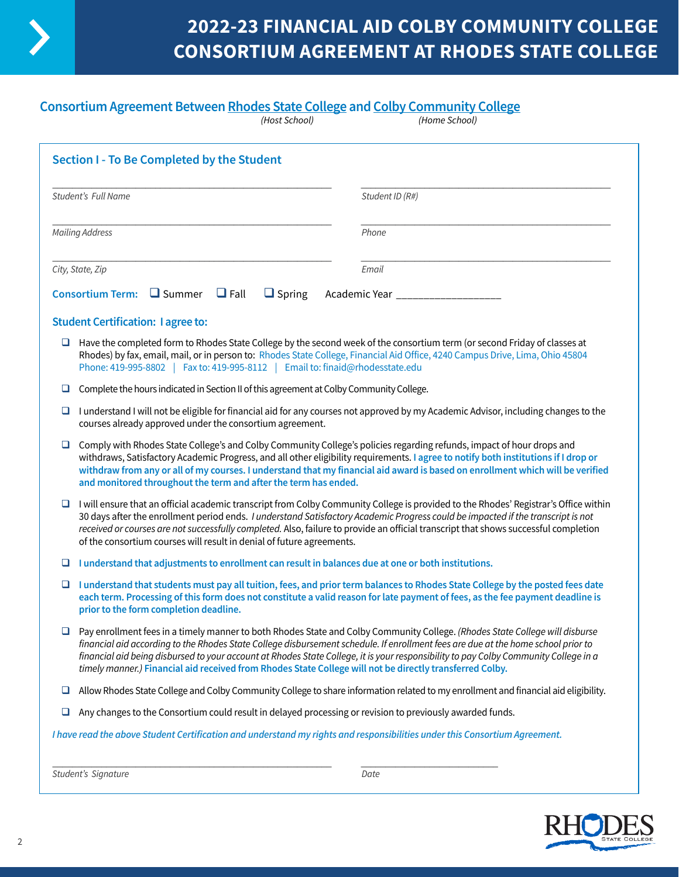

# **2022-23 FINANCIAL AID COLBY COMMUNITY COLLEGE CONSORTIUM AGREEMENT AT RHODES STATE COLLEGE**

## **Consortium Agreement Between Rhodes State College and Colby Community College**

|                        | (Host School)                                                                                                                                                                                                                                                                                                                                                                                                                                                                             | (Home School)                                                                                                                                                                                                                                                                                                                                                                                             |  |  |
|------------------------|-------------------------------------------------------------------------------------------------------------------------------------------------------------------------------------------------------------------------------------------------------------------------------------------------------------------------------------------------------------------------------------------------------------------------------------------------------------------------------------------|-----------------------------------------------------------------------------------------------------------------------------------------------------------------------------------------------------------------------------------------------------------------------------------------------------------------------------------------------------------------------------------------------------------|--|--|
|                        | Section I - To Be Completed by the Student                                                                                                                                                                                                                                                                                                                                                                                                                                                |                                                                                                                                                                                                                                                                                                                                                                                                           |  |  |
| Student's Full Name    |                                                                                                                                                                                                                                                                                                                                                                                                                                                                                           | Student ID (R#)                                                                                                                                                                                                                                                                                                                                                                                           |  |  |
| <b>Mailing Address</b> |                                                                                                                                                                                                                                                                                                                                                                                                                                                                                           | Phone                                                                                                                                                                                                                                                                                                                                                                                                     |  |  |
|                        | City, State, Zip                                                                                                                                                                                                                                                                                                                                                                                                                                                                          | Email                                                                                                                                                                                                                                                                                                                                                                                                     |  |  |
|                        | Consortium Term: $\Box$ Summer $\Box$ Fall<br>$\Box$ Spring                                                                                                                                                                                                                                                                                                                                                                                                                               | Academic Year __________________                                                                                                                                                                                                                                                                                                                                                                          |  |  |
|                        | <b>Student Certification: I agree to:</b>                                                                                                                                                                                                                                                                                                                                                                                                                                                 |                                                                                                                                                                                                                                                                                                                                                                                                           |  |  |
| ⊔                      | Have the completed form to Rhodes State College by the second week of the consortium term (or second Friday of classes at<br>Phone: 419-995-8802   Fax to: 419-995-8112   Email to: finaid@rhodesstate.edu                                                                                                                                                                                                                                                                                | Rhodes) by fax, email, mail, or in person to: Rhodes State College, Financial Aid Office, 4240 Campus Drive, Lima, Ohio 45804                                                                                                                                                                                                                                                                             |  |  |
| ⊔                      | Complete the hours indicated in Section II of this agreement at Colby Community College.                                                                                                                                                                                                                                                                                                                                                                                                  |                                                                                                                                                                                                                                                                                                                                                                                                           |  |  |
| ⊔                      | courses already approved under the consortium agreement.                                                                                                                                                                                                                                                                                                                                                                                                                                  | I understand I will not be eligible for financial aid for any courses not approved by my Academic Advisor, including changes to the                                                                                                                                                                                                                                                                       |  |  |
| ❏                      | Comply with Rhodes State College's and Colby Community College's policies regarding refunds, impact of hour drops and<br>withdraws, Satisfactory Academic Progress, and all other eligibility requirements. I agree to notify both institutions if I drop or<br>withdraw from any or all of my courses. I understand that my financial aid award is based on enrollment which will be verified<br>and monitored throughout the term and after the term has ended.                         |                                                                                                                                                                                                                                                                                                                                                                                                           |  |  |
| ⊔                      | I will ensure that an official academic transcript from Colby Community College is provided to the Rhodes' Registrar's Office within<br>30 days after the enrollment period ends. I understand Satisfactory Academic Progress could be impacted if the transcript is not<br>received or courses are not successfully completed. Also, failure to provide an official transcript that shows successful completion<br>of the consortium courses will result in denial of future agreements. |                                                                                                                                                                                                                                                                                                                                                                                                           |  |  |
| ⊔                      | I understand that adjustments to enrollment can result in balances due at one or both institutions.                                                                                                                                                                                                                                                                                                                                                                                       |                                                                                                                                                                                                                                                                                                                                                                                                           |  |  |
| ⊔                      | prior to the form completion deadline.                                                                                                                                                                                                                                                                                                                                                                                                                                                    | I understand that students must pay all tuition, fees, and prior term balances to Rhodes State College by the posted fees date<br>each term. Processing of this form does not constitute a valid reason for late payment of fees, as the fee payment deadline is                                                                                                                                          |  |  |
| ⊔                      | timely manner.) Financial aid received from Rhodes State College will not be directly transferred Colby.                                                                                                                                                                                                                                                                                                                                                                                  | Pay enrollment fees in a timely manner to both Rhodes State and Colby Community College. (Rhodes State College will disburse<br>financial aid according to the Rhodes State College disbursement schedule. If enrollment fees are due at the home school prior to<br>financial aid being disbursed to your account at Rhodes State College, it is your responsibility to pay Colby Community College in a |  |  |
| ц                      |                                                                                                                                                                                                                                                                                                                                                                                                                                                                                           | Allow Rhodes State College and Colby Community College to share information related to my enrollment and financial aid eligibility.                                                                                                                                                                                                                                                                       |  |  |
| ⊔                      | Any changes to the Consortium could result in delayed processing or revision to previously awarded funds.                                                                                                                                                                                                                                                                                                                                                                                 |                                                                                                                                                                                                                                                                                                                                                                                                           |  |  |
|                        | I have read the above Student Certification and understand my rights and responsibilities under this Consortium Agreement.                                                                                                                                                                                                                                                                                                                                                                |                                                                                                                                                                                                                                                                                                                                                                                                           |  |  |
|                        |                                                                                                                                                                                                                                                                                                                                                                                                                                                                                           |                                                                                                                                                                                                                                                                                                                                                                                                           |  |  |

*Student's Signature Date*